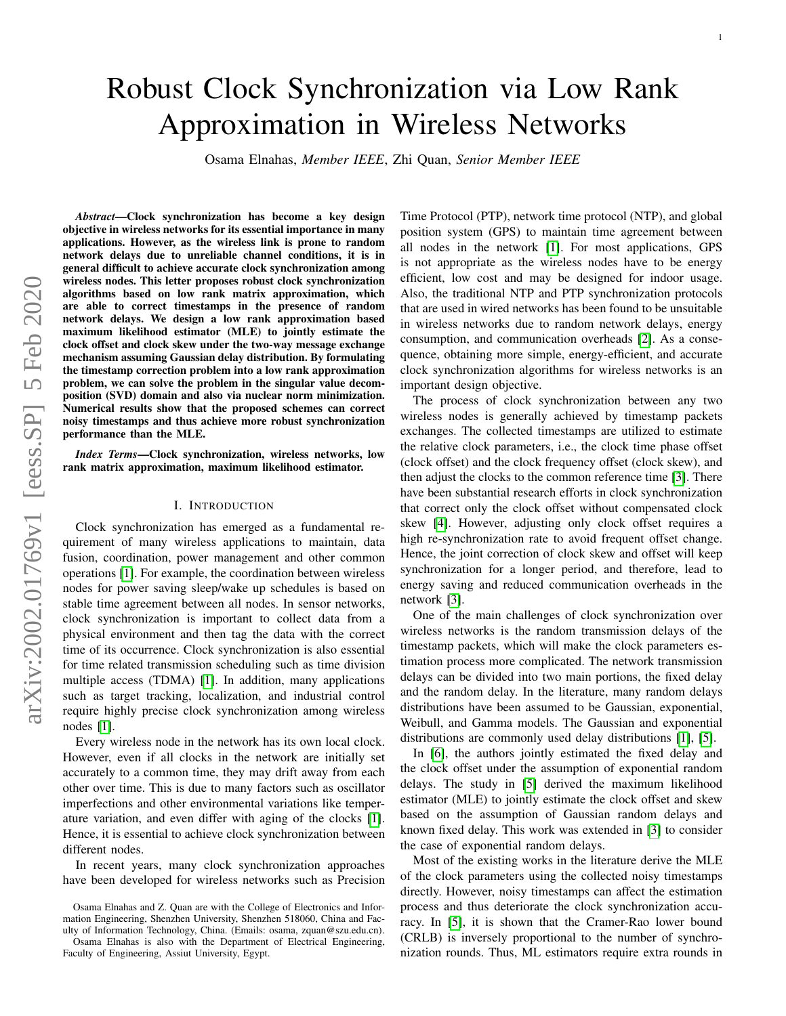# Robust Clock Synchronization via Low Rank Approximation in Wireless Networks

Osama Elnahas, *Member IEEE*, Zhi Quan, *Senior Member IEEE*

*Abstract*—Clock synchronization has become a key design objective in wireless networks for its essential importance in many applications. However, as the wireless link is prone to random network delays due to unreliable channel conditions, it is in general difficult to achieve accurate clock synchronization among wireless nodes. This letter proposes robust clock synchronization algorithms based on low rank matrix approximation, which are able to correct timestamps in the presence of random network delays. We design a low rank approximation based maximum likelihood estimator (MLE) to jointly estimate the clock offset and clock skew under the two-way message exchange mechanism assuming Gaussian delay distribution. By formulating the timestamp correction problem into a low rank approximation problem, we can solve the problem in the singular value decomposition (SVD) domain and also via nuclear norm minimization. Numerical results show that the proposed schemes can correct noisy timestamps and thus achieve more robust synchronization performance than the MLE.

*Index Terms*—Clock synchronization, wireless networks, low rank matrix approximation, maximum likelihood estimator.

## I. INTRODUCTION

Clock synchronization has emerged as a fundamental requirement of many wireless applications to maintain, data fusion, coordination, power management and other common operations [\[1\]](#page-4-0). For example, the coordination between wireless nodes for power saving sleep/wake up schedules is based on stable time agreement between all nodes. In sensor networks, clock synchronization is important to collect data from a physical environment and then tag the data with the correct time of its occurrence. Clock synchronization is also essential for time related transmission scheduling such as time division multiple access (TDMA) [\[1\]](#page-4-0). In addition, many applications such as target tracking, localization, and industrial control require highly precise clock synchronization among wireless nodes [\[1\]](#page-4-0).

Every wireless node in the network has its own local clock. However, even if all clocks in the network are initially set accurately to a common time, they may drift away from each other over time. This is due to many factors such as oscillator imperfections and other environmental variations like temperature variation, and even differ with aging of the clocks [\[1\]](#page-4-0). Hence, it is essential to achieve clock synchronization between different nodes.

In recent years, many clock synchronization approaches have been developed for wireless networks such as Precision

Osama Elnahas is also with the Department of Electrical Engineering, Faculty of Engineering, Assiut University, Egypt.

Time Protocol (PTP), network time protocol (NTP), and global position system (GPS) to maintain time agreement between all nodes in the network [\[1\]](#page-4-0). For most applications, GPS is not appropriate as the wireless nodes have to be energy efficient, low cost and may be designed for indoor usage. Also, the traditional NTP and PTP synchronization protocols that are used in wired networks has been found to be unsuitable in wireless networks due to random network delays, energy consumption, and communication overheads [\[2\]](#page-4-1). As a consequence, obtaining more simple, energy-efficient, and accurate clock synchronization algorithms for wireless networks is an important design objective.

The process of clock synchronization between any two wireless nodes is generally achieved by timestamp packets exchanges. The collected timestamps are utilized to estimate the relative clock parameters, i.e., the clock time phase offset (clock offset) and the clock frequency offset (clock skew), and then adjust the clocks to the common reference time [\[3\]](#page-4-2). There have been substantial research efforts in clock synchronization that correct only the clock offset without compensated clock skew [\[4\]](#page-4-3). However, adjusting only clock offset requires a high re-synchronization rate to avoid frequent offset change. Hence, the joint correction of clock skew and offset will keep synchronization for a longer period, and therefore, lead to energy saving and reduced communication overheads in the network [\[3\]](#page-4-2).

One of the main challenges of clock synchronization over wireless networks is the random transmission delays of the timestamp packets, which will make the clock parameters estimation process more complicated. The network transmission delays can be divided into two main portions, the fixed delay and the random delay. In the literature, many random delays distributions have been assumed to be Gaussian, exponential, Weibull, and Gamma models. The Gaussian and exponential distributions are commonly used delay distributions [\[1\]](#page-4-0), [\[5\]](#page-4-4).

In [\[6\]](#page-4-5), the authors jointly estimated the fixed delay and the clock offset under the assumption of exponential random delays. The study in [\[5\]](#page-4-4) derived the maximum likelihood estimator (MLE) to jointly estimate the clock offset and skew based on the assumption of Gaussian random delays and known fixed delay. This work was extended in [\[3\]](#page-4-2) to consider the case of exponential random delays.

Most of the existing works in the literature derive the MLE of the clock parameters using the collected noisy timestamps directly. However, noisy timestamps can affect the estimation process and thus deteriorate the clock synchronization accuracy. In [\[5\]](#page-4-4), it is shown that the Cramer-Rao lower bound (CRLB) is inversely proportional to the number of synchronization rounds. Thus, ML estimators require extra rounds in

Osama Elnahas and Z. Quan are with the College of Electronics and Information Engineering, Shenzhen University, Shenzhen 518060, China and Faculty of Information Technology, China. (Emails: osama, zquan@szu.edu.cn).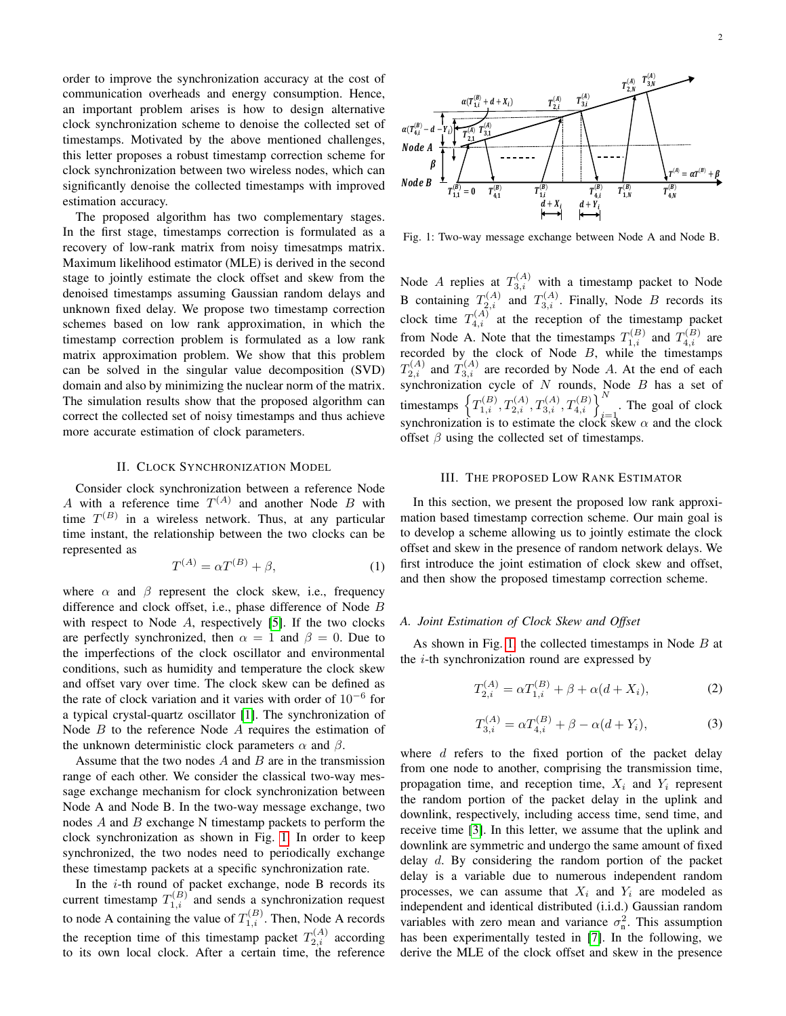order to improve the synchronization accuracy at the cost of communication overheads and energy consumption. Hence, an important problem arises is how to design alternative clock synchronization scheme to denoise the collected set of timestamps. Motivated by the above mentioned challenges, this letter proposes a robust timestamp correction scheme for clock synchronization between two wireless nodes, which can significantly denoise the collected timestamps with improved estimation accuracy.

The proposed algorithm has two complementary stages. In the first stage, timestamps correction is formulated as a recovery of low-rank matrix from noisy timesatmps matrix. Maximum likelihood estimator (MLE) is derived in the second stage to jointly estimate the clock offset and skew from the denoised timestamps assuming Gaussian random delays and unknown fixed delay. We propose two timestamp correction schemes based on low rank approximation, in which the timestamp correction problem is formulated as a low rank matrix approximation problem. We show that this problem can be solved in the singular value decomposition (SVD) domain and also by minimizing the nuclear norm of the matrix. The simulation results show that the proposed algorithm can correct the collected set of noisy timestamps and thus achieve more accurate estimation of clock parameters.

# II. CLOCK SYNCHRONIZATION MODEL

Consider clock synchronization between a reference Node A with a reference time  $T^{(A)}$  and another Node B with time  $T^{(B)}$  in a wireless network. Thus, at any particular time instant, the relationship between the two clocks can be represented as

$$
T^{(A)} = \alpha T^{(B)} + \beta,\tag{1}
$$

where  $\alpha$  and  $\beta$  represent the clock skew, i.e., frequency difference and clock offset, i.e., phase difference of Node B with respect to Node A, respectively [\[5\]](#page-4-4). If the two clocks are perfectly synchronized, then  $\alpha = 1$  and  $\beta = 0$ . Due to the imperfections of the clock oscillator and environmental conditions, such as humidity and temperature the clock skew and offset vary over time. The clock skew can be defined as the rate of clock variation and it varies with order of 10<sup>−</sup><sup>6</sup> for a typical crystal-quartz oscillator [\[1\]](#page-4-0). The synchronization of Node B to the reference Node A requires the estimation of the unknown deterministic clock parameters  $\alpha$  and  $\beta$ .

Assume that the two nodes  $A$  and  $B$  are in the transmission range of each other. We consider the classical two-way message exchange mechanism for clock synchronization between Node A and Node B. In the two-way message exchange, two nodes A and B exchange N timestamp packets to perform the clock synchronization as shown in Fig. [1.](#page-1-0) In order to keep synchronized, the two nodes need to periodically exchange these timestamp packets at a specific synchronization rate.

In the i-th round of packet exchange, node B records its current timestamp  $T_{1,i}^{(B)}$  and sends a synchronization request to node A containing the value of  $T_{1,i}^{(B)}$ . Then, Node A records the reception time of this timestamp packet  $T_{2,i}^{(A)}$  according to its own local clock. After a certain time, the reference

<span id="page-1-0"></span>

Fig. 1: Two-way message exchange between Node A and Node B.

Node A replies at  $T_{3,i}^{(A)}$  with a timestamp packet to Node B containing  $T_{2,i}^{(A)}$  and  $T_{3,i}^{(A)}$ . Finally, Node B records its clock time  $T_{4,i}^{(A)}$  at the reception of the timestamp packet from Node A. Note that the timestamps  $T_{1,i}^{(B)}$  and  $T_{4,i}^{(B)}$  are recorded by the clock of Node  $B$ , while the timestamps  $T_{2,i}^{(A)}$  and  $T_{3,i}^{(A)}$  are recorded by Node A. At the end of each synchronization cycle of  $N$  rounds, Node  $B$  has a set of timestamps  $\left\{T_{1,i}^{(B)}, T_{2,i}^{(A)}, T_{3,i}^{(A)}, T_{4,i}^{(B)}\right\}_{i=1}^{N}$ . The goal of clock synchronization is to estimate the clock skew  $\alpha$  and the clock offset  $\beta$  using the collected set of timestamps.

# III. THE PROPOSED LOW RANK ESTIMATOR

In this section, we present the proposed low rank approximation based timestamp correction scheme. Our main goal is to develop a scheme allowing us to jointly estimate the clock offset and skew in the presence of random network delays. We first introduce the joint estimation of clock skew and offset, and then show the proposed timestamp correction scheme.

# *A. Joint Estimation of Clock Skew and Offset*

<span id="page-1-1"></span>As shown in Fig. [1,](#page-1-0) the collected timestamps in Node  $B$  at the  $i$ -th synchronization round are expressed by

$$
T_{2,i}^{(A)} = \alpha T_{1,i}^{(B)} + \beta + \alpha (d + X_i), \tag{2}
$$

$$
T_{3,i}^{(A)} = \alpha T_{4,i}^{(B)} + \beta - \alpha (d + Y_i), \tag{3}
$$

<span id="page-1-2"></span>where  $d$  refers to the fixed portion of the packet delay from one node to another, comprising the transmission time, propagation time, and reception time,  $X_i$  and  $Y_i$  represent the random portion of the packet delay in the uplink and downlink, respectively, including access time, send time, and receive time [\[3\]](#page-4-2). In this letter, we assume that the uplink and downlink are symmetric and undergo the same amount of fixed delay d. By considering the random portion of the packet delay is a variable due to numerous independent random processes, we can assume that  $X_i$  and  $Y_i$  are modeled as independent and identical distributed (i.i.d.) Gaussian random variables with zero mean and variance  $\sigma_n^2$ . This assumption has been experimentally tested in [\[7\]](#page-4-6). In the following, we derive the MLE of the clock offset and skew in the presence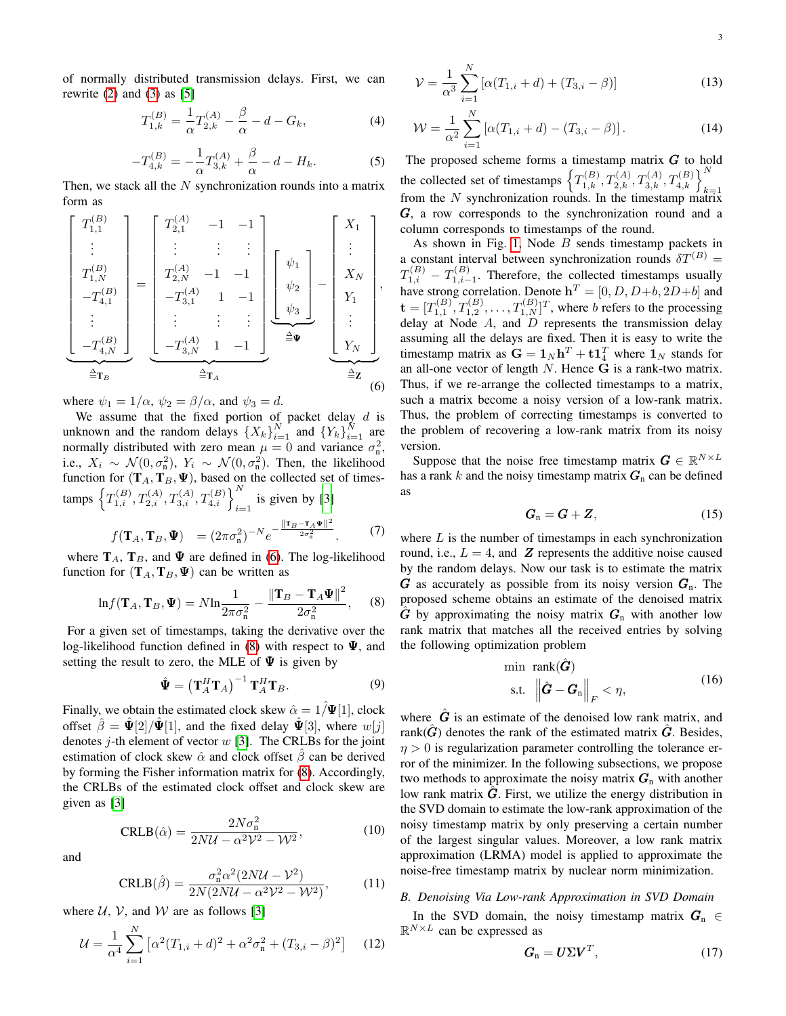of normally distributed transmission delays. First, we can rewrite  $(2)$  and  $(3)$  as  $[5]$ 

$$
T_{1,k}^{(B)} = \frac{1}{\alpha} T_{2,k}^{(A)} - \frac{\beta}{\alpha} - d - G_k,
$$
 (4)

$$
-T_{4,k}^{(B)} = -\frac{1}{\alpha}T_{3,k}^{(A)} + \frac{\beta}{\alpha} - d - H_k.
$$
 (5)

Then, we stack all the  $N$  synchronization rounds into a matrix form as

<span id="page-2-0"></span>
$$
\begin{bmatrix}\nT_{1,1}^{(B)} \\
\vdots \\
T_{1,N}^{(B)} \\
-T_{4,1}^{(B)} \\
\vdots \\
-T_{4,N}^{(B)}\n\end{bmatrix} = \begin{bmatrix}\nT_{2,1}^{(A)} & -1 & -1 \\
\vdots & \vdots & \vdots \\
T_{2,N}^{(A)} & -1 & -1 \\
-T_{3,1}^{(A)} & 1 & -1 \\
\vdots & \vdots & \vdots \\
-T_{3,N}^{(A)} & 1 & -1\n\end{bmatrix} \begin{bmatrix}\n\psi_1 \\
\psi_2 \\
\psi_3\n\end{bmatrix} - \begin{bmatrix}\nX_1 \\
\vdots \\
X_N \\
Y_1 \\
\vdots \\
Y_N\n\end{bmatrix},
$$
\n
$$
\stackrel{\triangle}{=} \mathbf{T}_B
$$
\n
$$
\stackrel{\triangle}{=} \mathbf{T}_A
$$
\n
$$
(6)
$$

where  $\psi_1 = 1/\alpha$ ,  $\psi_2 = \beta/\alpha$ , and  $\psi_3 = d$ .

We assume that the fixed portion of packet delay  $d$  is unknown and the random delays  $\{X_k\}_{i=1}^N$  and  $\{Y_k\}_{i=1}^N$  are normally distributed with zero mean  $\mu = 0$  and variance  $\sigma_n^2$ , i.e.,  $X_i \sim \mathcal{N}(0, \sigma_n^2)$ ,  $Y_i \sim \mathcal{N}(0, \sigma_n^2)$ . Then, the likelihood function for  $(T_A, T_B, \Psi)$ , based on the collected set of timestamps  $\left\{T_{1,i}^{(B)}, T_{2,i}^{(A)}, T_{3,i}^{(A)}, T_{4,i}^{(B)}\right\}_{i=1}^{N}$  is given by [\[3\]](#page-4-2)

$$
f(\mathbf{T}_A, \mathbf{T}_B, \boldsymbol{\Psi}) = (2\pi\sigma_n^2)^{-N} e^{-\frac{\|\mathbf{T}_B - \mathbf{T}_A\boldsymbol{\Psi}\|^2}{2\sigma_n^2}}.
$$
 (7)

where  $T_A$ ,  $T_B$ , and  $\Psi$  are defined in [\(6\)](#page-2-0). The log-likelihood function for  $(T_A, T_B, \Psi)$  can be written as

<span id="page-2-1"></span>
$$
\ln f(\mathbf{T}_A, \mathbf{T}_B, \boldsymbol{\Psi}) = N \ln \frac{1}{2\pi \sigma_n^2} - \frac{\left\| \mathbf{T}_B - \mathbf{T}_A \boldsymbol{\Psi} \right\|^2}{2\sigma_n^2}, \quad (8)
$$

For a given set of timestamps, taking the derivative over the log-likelihood function defined in [\(8\)](#page-2-1) with respect to  $\Psi$ , and setting the result to zero, the MLE of  $\Psi$  is given by

<span id="page-2-3"></span>
$$
\hat{\mathbf{\Psi}} = \left(\mathbf{T}_A^H \mathbf{T}_A\right)^{-1} \mathbf{T}_A^H \mathbf{T}_B. \tag{9}
$$

Finally, we obtain the estimated clock skew  $\hat{\alpha} = 1/\Psi[1]$ , clock offset  $\hat{\beta} = \hat{\Psi}[2]/\hat{\Psi}[1]$ , and the fixed delay  $\hat{\Psi}[3]$ , where  $w[j]$ denotes  $j$ -th element of vector  $w$  [\[3\]](#page-4-2). The CRLBs for the joint estimation of clock skew  $\hat{\alpha}$  and clock offset  $\hat{\beta}$  can be derived by forming the Fisher information matrix for [\(8\)](#page-2-1). Accordingly, the CRLBs of the estimated clock offset and clock skew are given as [\[3\]](#page-4-2)

$$
CRLB(\hat{\alpha}) = \frac{2N\sigma_{\rm n}^2}{2N\mathcal{U} - \alpha^2 \mathcal{V}^2 - \mathcal{W}^2},\tag{10}
$$

<span id="page-2-6"></span><span id="page-2-5"></span>and

$$
CRLB(\hat{\beta}) = \frac{\sigma_{n}^{2} \alpha^{2} (2NU - \mathcal{V}^{2})}{2N(2NU - \alpha^{2} \mathcal{V}^{2} - \mathcal{W}^{2})},
$$
(11)

where  $U, V$ , and W are as follows [\[3\]](#page-4-2)

$$
\mathcal{U} = \frac{1}{\alpha^4} \sum_{i=1}^{N} \left[ \alpha^2 (T_{1,i} + d)^2 + \alpha^2 \sigma_{\mathfrak{n}}^2 + (T_{3,i} - \beta)^2 \right] \tag{12}
$$

$$
\mathcal{V} = \frac{1}{\alpha^3} \sum_{i=1}^{N} \left[ \alpha(T_{1,i} + d) + (T_{3,i} - \beta) \right]
$$
 (13)

$$
\mathcal{W} = \frac{1}{\alpha^2} \sum_{i=1}^{N} \left[ \alpha (T_{1,i} + d) - (T_{3,i} - \beta) \right].
$$
 (14)

The proposed scheme forms a timestamp matrix  $G$  to hold the collected set of timestamps  $\left\{T_{1,k}^{(B)}, T_{2,k}^{(A)}, T_{3,k}^{(A)}, T_{4,k}^{(B)}\right\}_{k=1}^{N}$ from the  $N$  synchronization rounds. In the timestamp matrix G, a row corresponds to the synchronization round and a column corresponds to timestamps of the round.

As shown in Fig. [1,](#page-1-0) Node  $B$  sends timestamp packets in a constant interval between synchronization rounds  $\delta T^{(B)} =$  $T_{1,i}^{(B)} - T_{1,i-1}^{(B)}$ . Therefore, the collected timestamps usually have strong correlation. Denote  $h^T = [0, D, D+b, 2D+b]$  and  $\mathbf{t} = [T_{1,1}^{(B)}, T_{1,2}^{(B)}, \dots, T_{1,N}^{(B)}]^T$ , where *b* refers to the processing delay at Node  $A$ , and  $D$  represents the transmission delay assuming all the delays are fixed. Then it is easy to write the timestamp matrix as  $\mathbf{G} = \mathbf{1}_N \mathbf{h}^T + \mathbf{t} \mathbf{1}_4^T$  where  $\mathbf{1}_N$  stands for an all-one vector of length  $N$ . Hence  $\tilde{G}$  is a rank-two matrix. Thus, if we re-arrange the collected timestamps to a matrix, such a matrix become a noisy version of a low-rank matrix. Thus, the problem of correcting timestamps is converted to the problem of recovering a low-rank matrix from its noisy version.

Suppose that the noise free timestamp matrix  $\mathbf{G} \in \mathbb{R}^{N \times L}$ has a rank k and the noisy timestamp matrix  $G_n$  can be defined as

$$
G_{n}=G+Z, \qquad (15)
$$

where  $L$  is the number of timestamps in each synchronization round, i.e.,  $L = 4$ , and  $\boldsymbol{Z}$  represents the additive noise caused by the random delays. Now our task is to estimate the matrix G as accurately as possible from its noisy version  $G_n$ . The proposed scheme obtains an estimate of the denoised matrix  $\hat{G}$  by approximating the noisy matrix  $G_n$  with another low rank matrix that matches all the received entries by solving the following optimization problem

$$
\min \ \text{rank}(\hat{\boldsymbol{G}})
$$
\n
$$
\text{s.t. } \left\| \hat{\boldsymbol{G}} - \boldsymbol{G}_{\text{n}} \right\|_{F} < \eta,\tag{16}
$$

<span id="page-2-2"></span>where  $\hat{G}$  is an estimate of the denoised low rank matrix, and rank $(\hat{G})$  denotes the rank of the estimated matrix  $\hat{G}$ . Besides,  $\eta > 0$  is regularization parameter controlling the tolerance error of the minimizer. In the following subsections, we propose two methods to approximate the noisy matrix  $G_n$  with another low rank matrix  $G$ . First, we utilize the energy distribution in the SVD domain to estimate the low-rank approximation of the noisy timestamp matrix by only preserving a certain number of the largest singular values. Moreover, a low rank matrix approximation (LRMA) model is applied to approximate the noise-free timestamp matrix by nuclear norm minimization.

# <span id="page-2-4"></span>*B. Denoising Via Low-rank Approximation in SVD Domain*

In the SVD domain, the noisy timestamp matrix  $G_n \in$  $\mathbb{R}^{N \times L}$  can be expressed as

$$
G_{n} = U\Sigma V^{T}, \qquad (17)
$$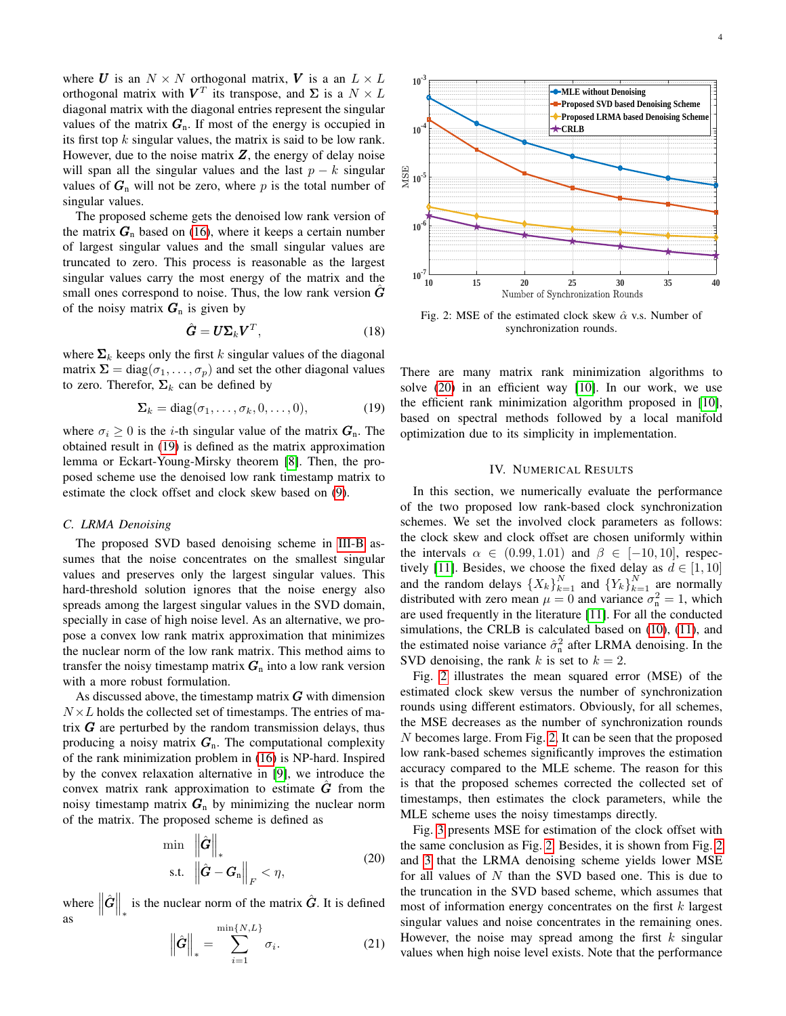where U is an  $N \times N$  orthogonal matrix, V is a an  $L \times L$ orthogonal matrix with  $V^T$  its transpose, and  $\Sigma$  is a  $N \times L$ diagonal matrix with the diagonal entries represent the singular values of the matrix  $G_n$ . If most of the energy is occupied in its first top  $k$  singular values, the matrix is said to be low rank. However, due to the noise matrix  $Z$ , the energy of delay noise will span all the singular values and the last  $p - k$  singular values of  $G_n$  will not be zero, where p is the total number of singular values.

The proposed scheme gets the denoised low rank version of the matrix  $G_n$  based on [\(16\)](#page-2-2), where it keeps a certain number of largest singular values and the small singular values are truncated to zero. This process is reasonable as the largest singular values carry the most energy of the matrix and the small ones correspond to noise. Thus, the low rank version  $G$ of the noisy matrix  $G_n$  is given by

$$
\hat{G} = U \Sigma_k V^T, \qquad (18)
$$

where  $\Sigma_k$  keeps only the first k singular values of the diagonal matrix  $\Sigma = diag(\sigma_1, \ldots, \sigma_p)$  and set the other diagonal values to zero. Therefor,  $\Sigma_k$  can be defined by

<span id="page-3-0"></span>
$$
\mathbf{\Sigma}_k = \text{diag}(\sigma_1, \dots, \sigma_k, 0, \dots, 0), \tag{19}
$$

where  $\sigma_i \geq 0$  is the *i*-th singular value of the matrix  $G_n$ . The obtained result in [\(19\)](#page-3-0) is defined as the matrix approximation lemma or Eckart-Young-Mirsky theorem [\[8\]](#page-4-7). Then, the proposed scheme use the denoised low rank timestamp matrix to estimate the clock offset and clock skew based on [\(9\)](#page-2-3).

### *C. LRMA Denoising*

The proposed SVD based denoising scheme in [III-B](#page-2-4) assumes that the noise concentrates on the smallest singular values and preserves only the largest singular values. This hard-threshold solution ignores that the noise energy also spreads among the largest singular values in the SVD domain, specially in case of high noise level. As an alternative, we propose a convex low rank matrix approximation that minimizes the nuclear norm of the low rank matrix. This method aims to transfer the noisy timestamp matrix  $G_n$  into a low rank version with a more robust formulation.

As discussed above, the timestamp matrix  $G$  with dimension  $N\times L$  holds the collected set of timestamps. The entries of matrix  $G$  are perturbed by the random transmission delays, thus producing a noisy matrix  $G_n$ . The computational complexity of the rank minimization problem in [\(16\)](#page-2-2) is NP-hard. Inspired by the convex relaxation alternative in [\[9\]](#page-4-8), we introduce the convex matrix rank approximation to estimate  $\tilde{G}$  from the noisy timestamp matrix  $G_n$  by minimizing the nuclear norm of the matrix. The proposed scheme is defined as

$$
\min \quad \left\| \hat{G} \right\|_{*} \n\text{s.t.} \quad \left\| \hat{G} - G_{\text{n}} \right\|_{F} < \eta,
$$
\n
$$
(20)
$$

<span id="page-3-1"></span>where  $\left\|\hat{G}\right\|_*$  is the nuclear norm of the matrix  $\hat{G}$ . It is defined as

$$
\left\|\hat{G}\right\|_{*} = \sum_{i=1}^{\min\{N,L\}} \sigma_{i}.
$$
 (21)

<span id="page-3-2"></span>

Fig. 2: MSE of the estimated clock skew  $\hat{\alpha}$  v.s. Number of synchronization rounds.

There are many matrix rank minimization algorithms to solve [\(20\)](#page-3-1) in an efficient way [\[10\]](#page-4-9). In our work, we use the efficient rank minimization algorithm proposed in [\[10\]](#page-4-9), based on spectral methods followed by a local manifold optimization due to its simplicity in implementation.

### IV. NUMERICAL RESULTS

1. For marriagn the matter in the station of the theorem is the same of the stationary in the stationary of the stationary of the stationary of the stationary of the stationary of the stationary of the stationary of the s In this section, we numerically evaluate the performance of the two proposed low rank-based clock synchronization schemes. We set the involved clock parameters as follows: the clock skew and clock offset are chosen uniformly within the intervals  $\alpha \in (0.99, 1.01)$  and  $\beta \in [-10, 10]$ , respec-tively [\[11\]](#page-4-10). Besides, we choose the fixed delay as  $d \in [1, 10]$ and the random delays  $\{X_k\}_{k=1}^N$  and  $\{Y_k\}_{k=1}^N$  are normally distributed with zero mean  $\mu = 0$  and variance  $\sigma_n^2 = 1$ , which are used frequently in the literature [\[11\]](#page-4-10). For all the conducted simulations, the CRLB is calculated based on  $(10)$ ,  $(11)$ , and the estimated noise variance  $\hat{\sigma}_n^2$  after LRMA denoising. In the SVD denoising, the rank k is set to  $k = 2$ .

Fig. [2](#page-3-2) illustrates the mean squared error (MSE) of the estimated clock skew versus the number of synchronization rounds using different estimators. Obviously, for all schemes, the MSE decreases as the number of synchronization rounds N becomes large. From Fig. [2,](#page-3-2) It can be seen that the proposed low rank-based schemes significantly improves the estimation accuracy compared to the MLE scheme. The reason for this is that the proposed schemes corrected the collected set of timestamps, then estimates the clock parameters, while the MLE scheme uses the noisy timestamps directly.

Fig. [3](#page-4-11) presents MSE for estimation of the clock offset with the same conclusion as Fig. [2.](#page-3-2) Besides, it is shown from Fig. [2](#page-3-2) and [3](#page-4-11) that the LRMA denoising scheme yields lower MSE for all values of N than the SVD based one. This is due to the truncation in the SVD based scheme, which assumes that most of information energy concentrates on the first  $k$  largest singular values and noise concentrates in the remaining ones. However, the noise may spread among the first  $k$  singular values when high noise level exists. Note that the performance